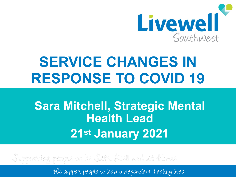

# **SERVICE CHANGES IN RESPONSE TO COVID 19**

# **Sara Mitchell, Strategic Mental Health Lead 21st January 2021**

Supporting people to be Safe, Mell and at Home

We support people to lead independent, healthy lives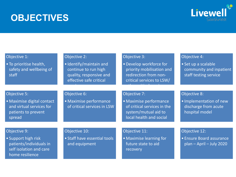### **OBJECTIVES**



#### Objective 1: • To prioritise health, safety and wellbeing of staff Objective 2: • Identify/maintain and continue to run high quality, responsive and effective safe critical services. Objective 3: •Develop workforce for priority mobilisation and redirection from noncritical services to LSW/ other critical services. Objective 4: • Set up a scalable community and inpatient staff testing service Objective 5: • Maximise digital contact and virtual services for patients to prevent spread Objective 6: • Maximise performance of critical services in LSW Objective 7: • Maximise performance of critical services in the system/mutual aid to local health and social care systems Objective 8: • Implementation of new discharge from acute hospital model Objective 9: • Support high risk patients/individuals in self isolation and care home resilience Objective 10: • Staff have essential tools and equipment Objective 11: • Maximise learning for future state to aid recovery Objective 12: • Ensure Board assurance plan – April – July 2020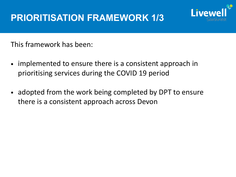## **PRIORITISATION FRAMEWORK 1/3**



This framework has been:

- implemented to ensure there is a consistent approach in prioritising services during the COVID 19 period
- adopted from the work being completed by DPT to ensure there is a consistent approach across Devon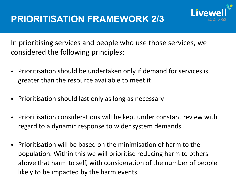

In prioritising services and people who use those services, we considered the following principles:

- Prioritisation should be undertaken only if demand for services is greater than the resource available to meet it
- Prioritisation should last only as long as necessary
- Prioritisation considerations will be kept under constant review with regard to a dynamic response to wider system demands
- Prioritisation will be based on the minimisation of harm to the population. Within this we will prioritise reducing harm to others above that harm to self, with consideration of the number of people likely to be impacted by the harm events.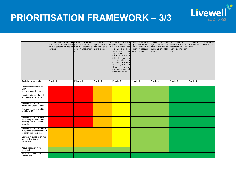### **PRIORITISATION FRAMEWORK – 3/3**



QO

**Livewell**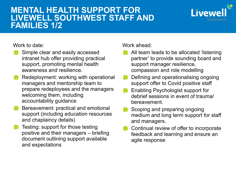### **MENTAL HEALTH SUPPORT FOR LIVEWELL SOUTHWEST STAFF AND FAMILIES 1/2**



Work to date:

- Simple clear and easily accessed intranet hub offer providing practical support, promoting mental health awareness and resilience.
- Redeployment: working with operational managers and mentorship team to prepare redeployees and the managers welcoming them, including accountability guidance
- Bereavement: practical and emotional support (including education resources and chaplaincy details)
- Testing: support for those testing positive and their managers – briefing document outlining support available and expectations

Work ahead:

- All team leads to be allocated 'listening partner' to provide sounding board and support manager resilience, compassion and role modelling
- Defining and operationalising ongoing support offer to Covid positive staff
- Enabling Psychologist support for debrief sessions in event of trauma/ bereavement.
- Scoping and preparing ongoing medium and long term support for staff and managers.
- Continual review of offer to incorporate feedback and learning and ensure an agile response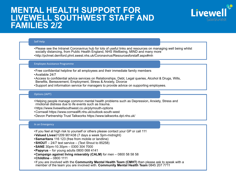### **MENTAL HEALTH SUPPORT FOR LIVEWELL SOUTHWEST STAFF AND FAMILIES 2/2**

#### Self Help

•Please see the Intranet Coronavirus hub for lots of useful links and resources on managing well being whilst socially distancing, from Public Health England, NHS Wellbeing, MIND and many more •http://pchnet.derriford.phnt.swest.nhs.uk/Coronavirus/Resourcesforstaff.aspx#mh

Livewe

#### Employee Assistance Programme

- •Free confidential helpline for all employees and their immediate family members
- •Available 24/7
- •Access to confidential advice services on Relationships, Debt, Legal queries, Alcohol & Drugs, Wills, Benefits, Bereavement, Employment, Stress & Anxiety, Divorce
- •Support and information service for managers to provide advice on supporting employees.

#### Options (IAPT)

- •Helping people manage common mental health problems such as Depression, Anxiety, Stress and rmotional distress due to ife events such as trauma.
- •https://www.livewellsouthwest.co.uk/plymouth-options
- •Cornwall https://www.cornwallft.nhs.uk/outlook-south-west
- •Devon Partnership Trust Talkworks https://www.talkworks.dpt.nhs.uk/

#### In an Emergency

- •If you feel at high risk to yourself or others please contact your GP or call 111
- **•Valued Lives**01209 901438 (7 days a week 5pm-midnight)
- **•Samaritans** 116 123 (free from mobile or landline)
- **•SHOUT**  24/7 text service (Text Shout to 85258)
- **•SANE** 30pm-10.30pm 0300 304 7000
- **•Papyrus**  for young adults 0800 068 4141
- **•Campaign against living miserably (CALM)** for men 0800 58 58 58
- **•Childline**  0800 1111
- •If you are involved with the **Community Mental Health Team (CMHT)** then please ask to speak with a member of the team you are involved with. **Community Mental Health Team** 0845 207 7711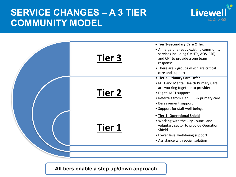### **SERVICE CHANGES – A 3 TIER COMMUNITY MODEL**





**All tiers enable a step up/down approach**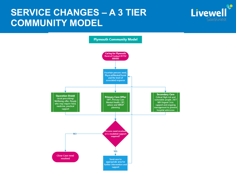### **SERVICE CHANGES – A 3 TIER COMMUNITY MODEL**



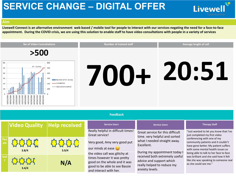### **SERVICE CHANGE – DIGITAL OFFER**

**Livewell** 

#### **Aim**

**Peo ple**

**Staf** 

**3.4/4**

**Livewell Connect is an alternative environment web based / mobile tool for people to interact with our services negating the need for a face-to-face appointment. During the COVID crisis, we are using this solution to enable staff to have video consultations with people in a variety of services**



**3.8/4 3.9/4**

| <b>received</b> | <b>Service Users</b>                                                                                                                                    | <b>Service Users</b>                                                                                                                         | <b>Therapy Staff</b>                                                                                                                               |
|-----------------|---------------------------------------------------------------------------------------------------------------------------------------------------------|----------------------------------------------------------------------------------------------------------------------------------------------|----------------------------------------------------------------------------------------------------------------------------------------------------|
|                 | Really helpful in difficult times!<br>Great service!                                                                                                    | Great service for this difficult<br>time. very helpful and sorted                                                                            | "Just wanted to let you know that I've<br>just completed my first video<br>conferencing with one of my                                             |
| 3.9/4           | Very good, Amy very good put<br>our minds at ease                                                                                                       | what I needed straight away.<br>Excellent.                                                                                                   | community patients and it couldn't<br>have gone better. My patient suffers<br>with some mental health issues so                                    |
| N/A             | the video call was glitchy at<br>times however it was pretty<br>good on the whole and it was<br>good to be able to see Bassie<br>and interact with her. | During my appointment today I<br>received both extremely useful<br>advice and support which<br>really helped to reduce my<br>anxiety levels. | being able to talk to her face to face<br>was brilliant and she said how it felt<br>like she was speaking to someone real<br>as she could see me." |